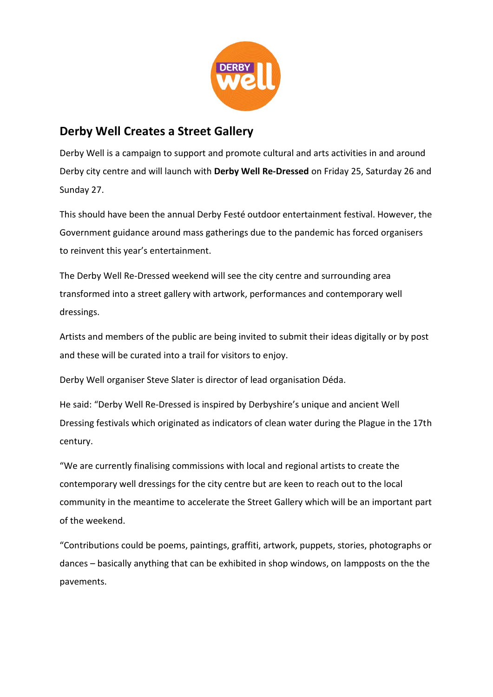

## **Derby Well Creates a Street Gallery**

Derby city centre and will launch with **Derby Well Re-Dressed** on Friday 25, Saturday 26 and Derby Well is a campaign to support and promote cultural and arts activities in and around Sunday 27.

This should have been the annual Derby Festé outdoor entertainment festival. However, the Government guidance around mass gatherings due to the pandemic has forced organisers to reinvent this year's entertainment.

The Derby Well Re-Dressed weekend will see the city centre and surrounding area transformed into a street gallery with artwork, performances and contemporary well dressings.

Artists and members of the public are being invited to submit their ideas digitally or by post and these will be curated into a trail for visitors to enjoy.

Derby Well organiser Steve Slater is director of lead organisation Déda.

He said: "Derby Well Re-Dressed is inspired by Derbyshire's unique and ancient Well Dressing festivals which originated as indicators of clean water during the Plague in the 17th century.

"We are currently finalising commissions with local and regional artists to create the contemporary well dressings for the city centre but are keen to reach out to the local community in the meantime to accelerate the Street Gallery which will be an important part of the weekend.

"Contributions could be poems, paintings, graffiti, artwork, puppets, stories, photographs or dances – basically anything that can be exhibited in shop windows, on lampposts on the the pavements.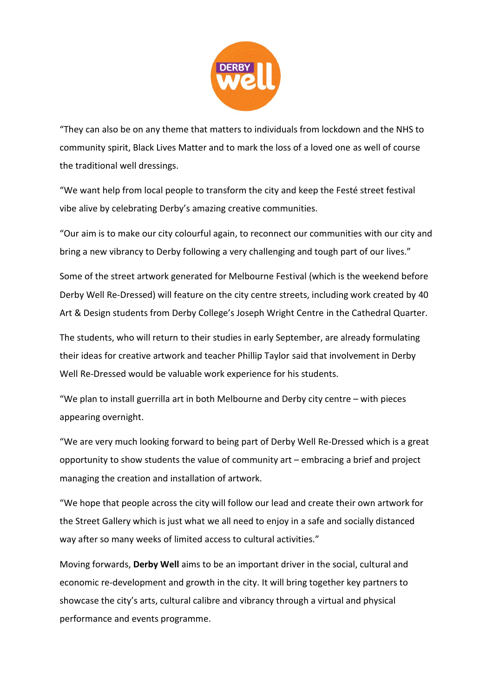

community spirit, Black Lives Matter and to mark the loss of a loved one as well of course "They can also be on any theme that matters to individuals from lockdown and the NHS to the traditional well dressings.

vibe alive by celebrating Derby's amazing creative communities. **Being** "We want help from local people to transform the city and keep the Festé street festival

"Our aim is to make our city colourful again, to reconnect our communities with our city and bring a new vibrancy to Derby following a very challenging and tough part of our lives."

Some of the street artwork generated for Melbourne Festival (which is the weekend before Derby Well Re-Dressed) will feature on the city centre streets, including work created by 40 Art & Design students from Derby College's Joseph Wright Centre in the Cathedral Quarter.

The students, who will return to their studies in early September, are already formulating their ideas for creative artwork and teacher Phillip Taylor said that involvement in Derby Well Re-Dressed would be valuable work experience for his students.

"We plan to install guerrilla art in both Melbourne and Derby city centre – with pieces appearing overnight.

"We are very much looking forward to being part of Derby Well Re-Dressed which is a great opportunity to show students the value of community art – embracing a brief and project managing the creation and installation of artwork.

"We hope that people across the city will follow our lead and create their own artwork for the Street Gallery which is just what we all need to enjoy in a safe and socially distanced way after so many weeks of limited access to cultural activities."

Moving forwards, **Derby Well** aims to be an important driver in the social, cultural and economic re-development and growth in the city. It will bring together key partners to showcase the city's arts, cultural calibre and vibrancy through a virtual and physical performance and events programme.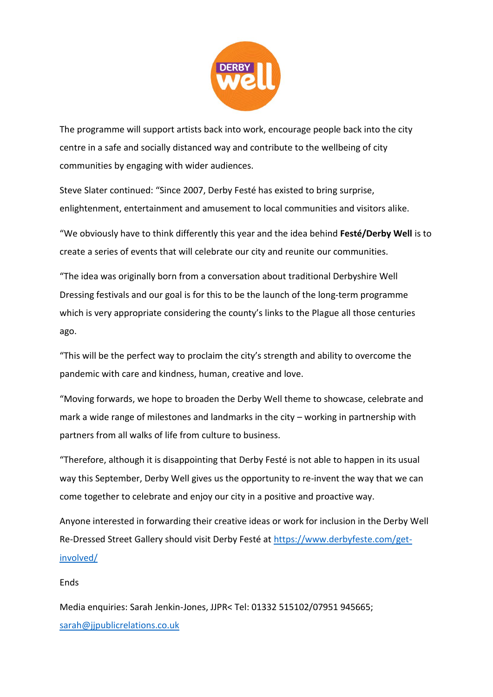

centre in a safe and socially distanced way and contribute to the wellbeing of city The programme will support artists back into work, encourage people back into the city communities by engaging with wider audiences.

enlightenment, entertainment and amusement to local communities and visitors alike. **Being** Steve Slater continued: "Since 2007, Derby Festé has existed to bring surprise,

"We obviously have to think differently this year and the idea behind **Festé/Derby Well** is to create a series of events that will celebrate our city and reunite our communities.

"The idea was originally born from a conversation about traditional Derbyshire Well Dressing festivals and our goal is for this to be the launch of the long-term programme which is very appropriate considering the county's links to the Plague all those centuries ago.

"This will be the perfect way to proclaim the city's strength and ability to overcome the pandemic with care and kindness, human, creative and love.

"Moving forwards, we hope to broaden the Derby Well theme to showcase, celebrate and mark a wide range of milestones and landmarks in the city – working in partnership with partners from all walks of life from culture to business.

"Therefore, although it is disappointing that Derby Festé is not able to happen in its usual way this September, Derby Well gives us the opportunity to re-invent the way that we can come together to celebrate and enjoy our city in a positive and proactive way.

Anyone interested in forwarding their creative ideas or work for inclusion in the Derby Well Re-Dressed Street Gallery should visit Derby Festé at [https://www.derbyfeste.com/get](https://www.derbyfeste.com/get-involved/)[involved/](https://www.derbyfeste.com/get-involved/)

## Ends

Media enquiries: Sarah Jenkin-Jones, JJPR< Tel: 01332 515102/07951 945665; [sarah@jjpublicrelations.co.uk](mailto:sarah@jjpublicrelations.co.uk)